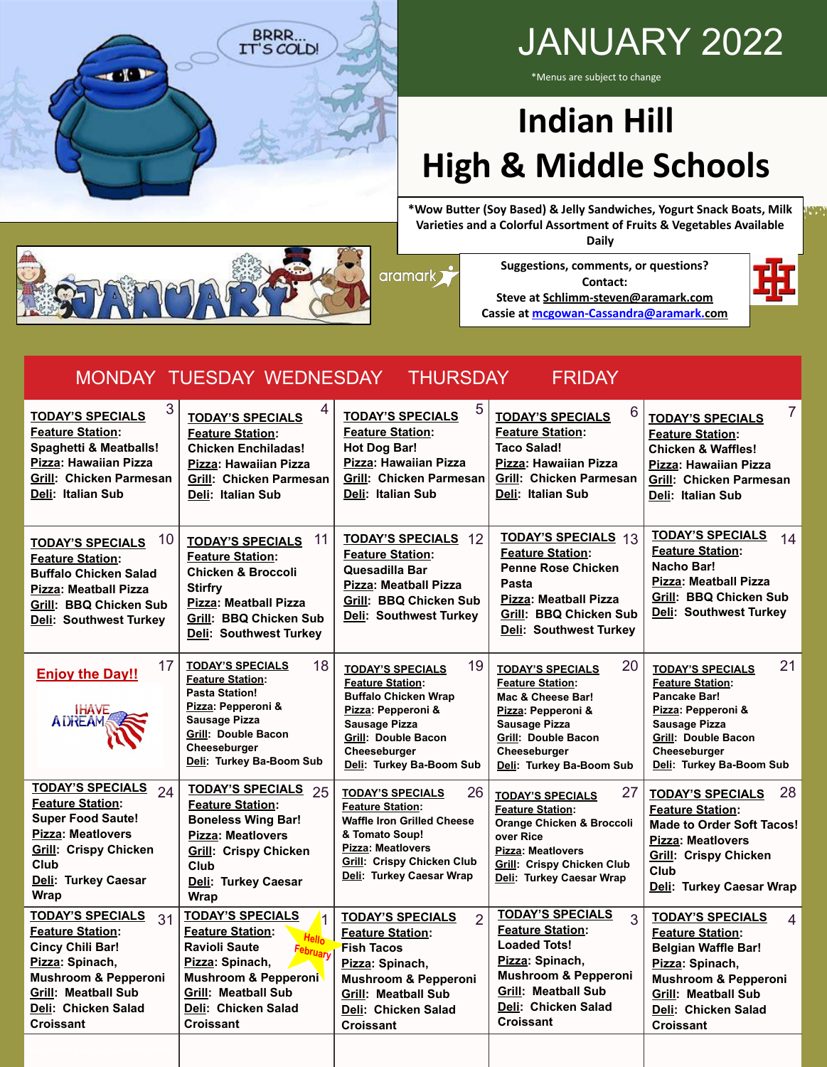

## JANUARY 2022

\*Menus are subject to change

## **Indian Hill High & Middle Schools**

**\*Wow Butter (Soy Based) & Jelly Sandwiches, Yogurt Snack Boats, Milk Varieties and a Colorful Assortment of Fruits & Vegetables Available Daily**



aramark <sup>3</sup>

**Suggestions, comments, or questions? Contact: Steve at [Schlimm-steven@aramark.com](mailto:Schlimm-steven@aramark.com) Cassie at [mcgowan-Cassandra@aramark.com](mailto:mcgowan-Cassandra@aramark.com)**



#### MONDAY TUESDAY WEDNESDAY THURSDAY FRIDAY

| 3<br><b>TODAY'S SPECIALS</b><br><b>Feature Station:</b><br>Spaghetti & Meatballs!<br>Pizza: Hawaiian Pizza<br>Grill: Chicken Parmesan<br>Deli: Italian Sub                                                         | <b>TODAY'S SPECIALS</b><br><b>Feature Station:</b><br><b>Chicken Enchiladas!</b><br>Pizza: Hawaiian Pizza<br><b>Grill: Chicken Parmesan</b><br>Deli: Italian Sub                                                    | 5<br><b>TODAY'S SPECIALS</b><br><b>Feature Station:</b><br><b>Hot Dog Bar!</b><br>Pizza: Hawaiian Pizza<br>Grill: Chicken Parmesan<br>Deli: Italian Sub                                                           | 6<br><b>TODAY'S SPECIALS</b><br><b>Feature Station:</b><br><b>Taco Salad!</b><br>Pizza: Hawaiian Pizza<br><b>Grill: Chicken Parmesan</b><br>Deli: Italian Sub                                                 | $\overline{7}$<br><b>TODAY'S SPECIALS</b><br><b>Feature Station:</b><br><b>Chicken &amp; Waffles!</b><br>Pizza: Hawaiian Pizza<br><b>Grill: Chicken Parmesan</b><br>Deli: Italian Sub                           |
|--------------------------------------------------------------------------------------------------------------------------------------------------------------------------------------------------------------------|---------------------------------------------------------------------------------------------------------------------------------------------------------------------------------------------------------------------|-------------------------------------------------------------------------------------------------------------------------------------------------------------------------------------------------------------------|---------------------------------------------------------------------------------------------------------------------------------------------------------------------------------------------------------------|-----------------------------------------------------------------------------------------------------------------------------------------------------------------------------------------------------------------|
| 10<br><b>TODAY'S SPECIALS</b><br><b>Feature Station:</b><br><b>Buffalo Chicken Salad</b><br>Pizza: Meatball Pizza<br><b>Grill: BBQ Chicken Sub</b><br>Deli: Southwest Turkey                                       | 11<br><b>TODAY'S SPECIALS</b><br><b>Feature Station:</b><br><b>Chicken &amp; Broccoli</b><br><b>Stirfry</b><br>Pizza: Meatball Pizza<br>Grill: BBQ Chicken Sub<br>Deli: Southwest Turkey                            | <b>TODAY'S SPECIALS 12</b><br><b>Feature Station:</b><br>Quesadilla Bar<br>Pizza: Meatball Pizza<br>Grill: BBQ Chicken Sub<br>Deli: Southwest Turkey                                                              | <b>TODAY'S SPECIALS 13</b><br><b>Feature Station:</b><br><b>Penne Rose Chicken</b><br>Pasta<br><b>Pizza: Meatball Pizza</b><br><b>Grill: BBQ Chicken Sub</b><br>Deli: Southwest Turkey                        | <b>TODAY'S SPECIALS</b><br>14<br><b>Feature Station:</b><br>Nacho Bar!<br><b>Pizza: Meatball Pizza</b><br>Grill: BBQ Chicken Sub<br>Deli: Southwest Turkey                                                      |
| 17<br><b>Enjoy the Day!!</b><br><b>IHAVE</b><br><b>ADREAM</b>                                                                                                                                                      | <b>TODAY'S SPECIALS</b><br>18<br><b>Feature Station:</b><br><b>Pasta Station!</b><br>Pizza: Pepperoni &<br><b>Sausage Pizza</b><br><b>Grill: Double Bacon</b><br>Cheeseburger<br>Deli: Turkey Ba-Boom Sub           | 19<br><b>TODAY'S SPECIALS</b><br><b>Feature Station:</b><br><b>Buffalo Chicken Wrap</b><br>Pizza: Pepperoni &<br>Sausage Pizza<br><b>Grill: Double Bacon</b><br>Cheeseburger<br>Deli: Turkey Ba-Boom Sub          | 20<br><b>TODAY'S SPECIALS</b><br><b>Feature Station:</b><br>Mac & Cheese Bar!<br>Pizza: Pepperoni &<br>Sausage Pizza<br><b>Grill: Double Bacon</b><br>Cheeseburger<br>Deli: Turkey Ba-Boom Sub                | 21<br><b>TODAY'S SPECIALS</b><br><b>Feature Station:</b><br>Pancake Bar!<br>Pizza: Pepperoni &<br><b>Sausage Pizza</b><br><b>Grill: Double Bacon</b><br>Cheeseburger<br>Deli: Turkey Ba-Boom Sub                |
| <b>TODAY'S SPECIALS</b><br>24<br><b>Feature Station:</b><br><b>Super Food Saute!</b><br>Pizza: Meatlovers<br><b>Grill: Crispy Chicken</b><br>Club<br>Deli: Turkey Caesar<br><b>Wrap</b>                            | <b>TODAY'S SPECIALS</b><br>25<br><b>Feature Station:</b><br><b>Boneless Wing Bar!</b><br>Pizza: Meatlovers<br><b>Grill: Crispy Chicken</b><br>Club<br>Deli: Turkey Caesar<br>Wrap                                   | 26<br><b>TODAY'S SPECIALS</b><br><b>Feature Station:</b><br><b>Waffle Iron Grilled Cheese</b><br>& Tomato Soup!<br>Pizza: Meatlovers<br><b>Grill: Crispy Chicken Club</b><br>Deli: Turkey Caesar Wrap             | 27<br><b>TODAY'S SPECIALS</b><br><b>Feature Station:</b><br><b>Orange Chicken &amp; Broccoli</b><br>over Rice<br><b>Pizza: Meatlovers</b><br><b>Grill: Crispy Chicken Club</b><br>Deli: Turkey Caesar Wrap    | 28<br><b>TODAY'S SPECIALS</b><br><b>Feature Station:</b><br><b>Made to Order Soft Tacos!</b><br>Pizza: Meatlovers<br><b>Grill: Crispy Chicken</b><br>Club<br>Deli: Turkey Caesar Wrap                           |
| <b>TODAY'S SPECIALS</b><br>31<br><b>Feature Station:</b><br><b>Cincy Chili Bar!</b><br>Pizza: Spinach,<br><b>Mushroom &amp; Pepperoni</b><br><b>Grill: Meatball Sub</b><br>Deli: Chicken Salad<br><b>Croissant</b> | <b>TODAY'S SPECIALS</b><br><b>Feature Station:</b><br>Hello<br><b>Ravioli Saute</b><br>February<br>Pizza: Spinach,<br>Mushroom & Pepperoni<br><b>Grill: Meatball Sub</b><br>Deli: Chicken Salad<br><b>Croissant</b> | <b>TODAY'S SPECIALS</b><br>$\overline{2}$<br><b>Feature Station:</b><br><b>Fish Tacos</b><br>Pizza: Spinach,<br><b>Mushroom &amp; Pepperoni</b><br><b>Grill: Meatball Sub</b><br>Deli: Chicken Salad<br>Croissant | <b>TODAY'S SPECIALS</b><br>3<br><b>Feature Station:</b><br><b>Loaded Tots!</b><br>Pizza: Spinach,<br><b>Mushroom &amp; Pepperoni</b><br><b>Grill: Meatball Sub</b><br>Deli: Chicken Salad<br><b>Croissant</b> | <b>TODAY'S SPECIALS</b><br>$\overline{4}$<br><b>Feature Station:</b><br><b>Belgian Waffle Bar!</b><br>Pizza: Spinach,<br>Mushroom & Pepperoni<br><b>Grill: Meatball Sub</b><br>Deli: Chicken Salad<br>Croissant |
|                                                                                                                                                                                                                    |                                                                                                                                                                                                                     |                                                                                                                                                                                                                   |                                                                                                                                                                                                               |                                                                                                                                                                                                                 |